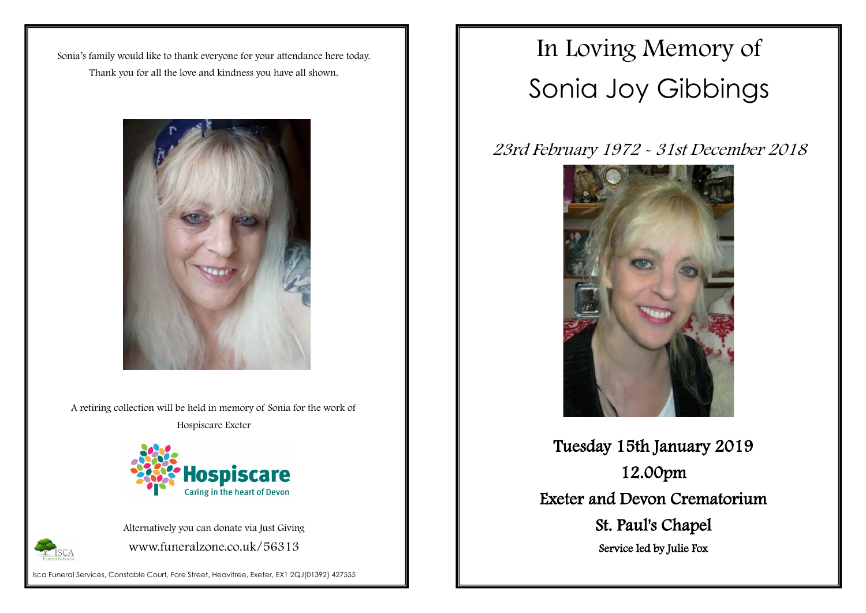Isca Funeral Services, Constable Court, Fore Street, Heavitree, Exeter, EX1 2QJ(01392) 427555

Sonia's family would like to thank everyone for your attendance here today. Thank you for all the love and kindness you have all shown.



A retiring collection will be held in memory of Sonia for the work of

Hospiscare Exeter



Alternatively you can donate via Just Giving www.funeralzone.co.uk/56313



# In Loving Memory of Sonia Joy Gibbings

23rd February 1972 - 31st December 2018



Tuesday 15th January 2019 12.00pm Exeter and Devon Crematorium St. Paul's Chapel

Service led by Julie Fox